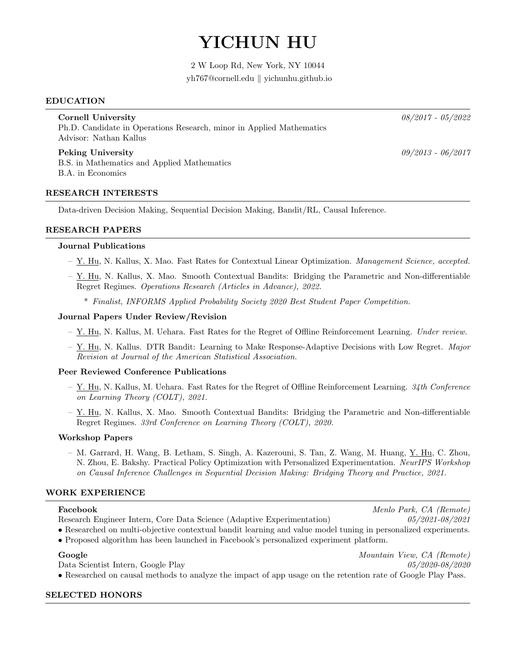# YICHUN HU

2 W Loop Rd, New York, NY 10044 yh767@cornell.edu || yichunhu.github.io

#### EDUCATION

Cornell University 08/2017 - 05/2022 Ph.D. Candidate in Operations Research, minor in Applied Mathematics Advisor: Nathan Kallus

Peking University  $09/2013 - 06/2017$ B.S. in Mathematics and Applied Mathematics B.A. in Economics

## RESEARCH INTERESTS

Data-driven Decision Making, Sequential Decision Making, Bandit/RL, Causal Inference.

## RESEARCH PAPERS

#### Journal Publications

- Y. Hu, N. Kallus, X. Mao. Fast Rates for Contextual Linear Optimization. Management Science, accepted.
- Y. Hu, N. Kallus, X. Mao. Smooth Contextual Bandits: Bridging the Parametric and Non-differentiable Regret Regimes. Operations Research (Articles in Advance), 2022.
	- \* Finalist, INFORMS Applied Probability Society 2020 Best Student Paper Competition.

#### Journal Papers Under Review/Revision

- $-$  Y. Hu, N. Kallus, M. Uehara. Fast Rates for the Regret of Offline Reinforcement Learning. Under review.
- $-$  Y. Hu, N. Kallus. DTR Bandit: Learning to Make Response-Adaptive Decisions with Low Regret. Major Revision at Journal of the American Statistical Association.

#### Peer Reviewed Conference Publications

- $-$  Y. Hu, N. Kallus, M. Uehara. Fast Rates for the Regret of Offline Reinforcement Learning. 34th Conference on Learning Theory (COLT), 2021.
- Y. Hu, N. Kallus, X. Mao. Smooth Contextual Bandits: Bridging the Parametric and Non-differentiable Regret Regimes. 33rd Conference on Learning Theory (COLT), 2020.

#### Workshop Papers

– M. Garrard, H. Wang, B. Letham, S. Singh, A. Kazerouni, S. Tan, Z. Wang, M. Huang, Y. Hu, C. Zhou, N. Zhou, E. Bakshy. Practical Policy Optimization with Personalized Experimentation. NeurIPS Workshop on Causal Inference Challenges in Sequential Decision Making: Bridging Theory and Practice, 2021.

#### WORK EXPERIENCE

| Facebook |                                          |  |  |
|----------|------------------------------------------|--|--|
|          | Research Engineer Intern, Core Data Scie |  |  |

• Researched on multi-objective contextual bandit learning and value model tuning in personalized experiments.

• Proposed algorithm has been launched in Facebook's personalized experiment platform.

#### Google Mountain View, CA (Remote)

Data Scientist Intern, Google Play 05/2020-08/2020 • Researched on causal methods to analyze the impact of app usage on the retention rate of Google Play Pass.

#### SELECTED HONORS

Menlo Park, CA (Remote)  $R$ ence (Adaptive Experimentation)  $0.05/2021-0.08/2021$